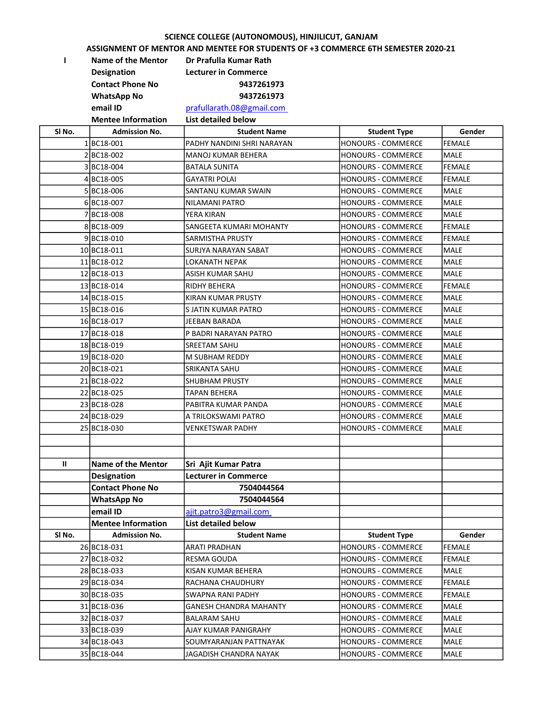## SCIENCE COLLEGE (AUTONOMOUS), HINJILICUT, GANJAM

## ASSIGNMENT OF MENTOR AND MENTEE FOR STUDENTS OF +3 COMMERCE 6TH SEMESTER 2020-21

I Name of the Mentor Dr Prafulla Kumar Rath Designation Lecturer in Commerce Contact Phone No 9437261973 WhatsApp No 9437261973 email ID prafullarath.08@gmail.com

Mentee Information List detailed below

| SI No. | <b>Admission No.</b>      | <b>Student Name</b>         | <b>Student Type</b>       | Gender        |
|--------|---------------------------|-----------------------------|---------------------------|---------------|
|        | 1BC18-001                 | PADHY NANDINI SHRI NARAYAN  | <b>HONOURS - COMMERCE</b> | <b>FEMALE</b> |
|        | 2BC18-002                 | <b>MANOJ KUMAR BEHERA</b>   | HONOURS - COMMERCE        | <b>MALE</b>   |
|        | 3BC18-004                 | BATALA SUNITA               | <b>HONOURS - COMMERCE</b> | <b>FEMALE</b> |
|        | 4BC18-005                 | <b>GAYATRI POLAI</b>        | <b>HONOURS - COMMERCE</b> | <b>FEMALE</b> |
|        | 5BC18-006                 | SANTANU KUMAR SWAIN         | <b>HONOURS - COMMERCE</b> | <b>MALE</b>   |
|        | 6BC18-007                 | NILAMANI PATRO              | <b>HONOURS - COMMERCE</b> | <b>MALE</b>   |
|        | 7BC18-008                 | YERA KIRAN                  | <b>HONOURS - COMMERCE</b> | MALE          |
|        | 8BC18-009                 | SANGEETA KUMARI MOHANTY     | HONOURS - COMMERCE        | <b>FEMALE</b> |
|        | 9BC18-010                 | SARMISTHA PRUSTY            | <b>HONOURS - COMMERCE</b> | <b>FEMALE</b> |
|        | 10BC18-011                | SURJYA NARAYAN SABAT        | HONOURS - COMMERCE        | MALE          |
|        | 11BC18-012                | LOKANATH NEPAK              | <b>HONOURS - COMMERCE</b> | <b>MALE</b>   |
|        | 12BC18-013                | ASISH KUMAR SAHU            | <b>HONOURS - COMMERCE</b> | MALE          |
|        | 13 BC18-014               | RIDHY BEHERA                | <b>HONOURS - COMMERCE</b> | FEMALE        |
|        | 14BC18-015                | <b>KIRAN KUMAR PRUSTY</b>   | <b>HONOURS - COMMERCE</b> | <b>MALE</b>   |
|        | 15 BC18-016               | S JATIN KUMAR PATRO         | HONOURS - COMMERCE        | MALE          |
|        | 16BC18-017                | JEEBAN BARADA               | <b>HONOURS - COMMERCE</b> | <b>MALE</b>   |
|        | 17 BC18-018               | P BADRI NARAYAN PATRO       | <b>HONOURS - COMMERCE</b> | MALE          |
|        | 18BC18-019                | <b>SREETAM SAHU</b>         | <b>HONOURS - COMMERCE</b> | MALE          |
|        | 19BC18-020                | M SUBHAM REDDY              | <b>HONOURS - COMMERCE</b> | <b>MALE</b>   |
|        | 20 BC18-021               | SRIKANTA SAHU               | <b>HONOURS - COMMERCE</b> | MALE          |
|        | 21BC18-022                | <b>SHUBHAM PRUSTY</b>       | <b>HONOURS - COMMERCE</b> | MALE          |
|        | 22 BC18-025               | TAPAN BEHERA                | HONOURS - COMMERCE        | MALE          |
|        | 23 BC18-028               | PABITRA KUMAR PANDA         | <b>HONOURS - COMMERCE</b> | <b>MALE</b>   |
|        | 24 BC18-029               | A TRILOKSWAMI PATRO         | <b>HONOURS - COMMERCE</b> | <b>MALE</b>   |
|        | 25 BC18-030               | VENKETSWAR PADHY            | <b>HONOURS - COMMERCE</b> | <b>MALE</b>   |
|        |                           |                             |                           |               |
|        |                           |                             |                           |               |
| Ш      | <b>Name of the Mentor</b> | Sri Ajit Kumar Patra        |                           |               |
|        | <b>Designation</b>        | <b>Lecturer in Commerce</b> |                           |               |
|        | <b>Contact Phone No</b>   | 7504044564                  |                           |               |
|        | <b>WhatsApp No</b>        | 7504044564                  |                           |               |
|        | email ID                  | ajit.patro3@gmail.com       |                           |               |
|        | <b>Mentee Information</b> | List detailed below         |                           |               |
| SI No. | <b>Admission No.</b>      | <b>Student Name</b>         | <b>Student Type</b>       | Gender        |
|        | 26 BC18-031               | <b>ARATI PRADHAN</b>        | HONOURS - COMMERCE        | <b>FEMALE</b> |
|        | 27 BC18-032               | RESMA GOUDA                 | HONOURS - COMMERCE        | FEMALE        |
|        | 28 BC18-033               | KISAN KUMAR BEHERA          | <b>HONOURS - COMMERCE</b> | MALE          |
|        | 29 BC18-034               | RACHANA CHAUDHURY           | HONOURS - COMMERCE        | <b>FEMALE</b> |
|        | 30 BC18-035               | SWAPNA RANI PADHY           | HONOURS - COMMERCE        | <b>FEMALE</b> |
|        | 31 BC18-036               | GANESH CHANDRA MAHANTY      | HONOURS - COMMERCE        | MALE          |
|        | 32 BC18-037               | BALARAM SAHU                | <b>HONOURS - COMMERCE</b> | MALE          |
|        | 33 BC18-039               | AJAY KUMAR PANIGRAHY        | HONOURS - COMMERCE        | MALE          |
|        | 34 BC18-043               | SOUMYARANJAN PATTNAYAK      | HONOURS - COMMERCE        | MALE          |
|        | 35 BC18-044               | JAGADISH CHANDRA NAYAK      | HONOURS - COMMERCE        | MALE          |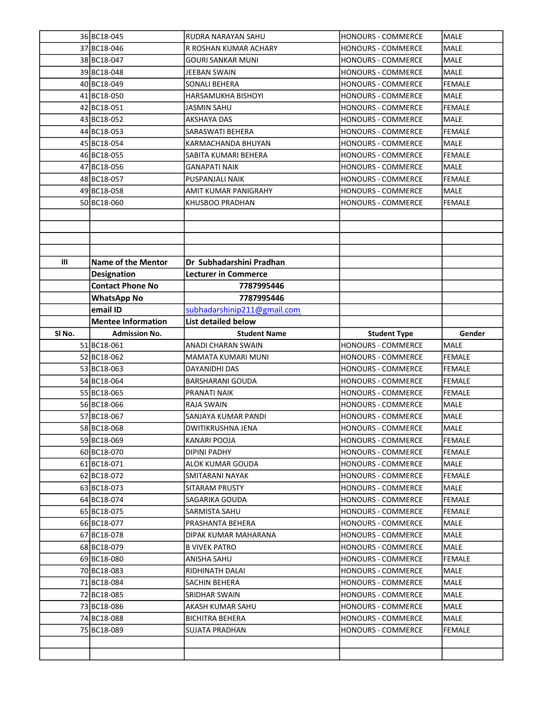|                   | 36 BC18-045               | RUDRA NARAYAN SAHU          | HONOURS - COMMERCE        | <b>MALE</b>   |
|-------------------|---------------------------|-----------------------------|---------------------------|---------------|
|                   | 37 BC18-046               | R ROSHAN KUMAR ACHARY       | <b>HONOURS - COMMERCE</b> | MALE          |
|                   | 38 BC18-047               | GOURI SANKAR MUNI           | <b>HONOURS - COMMERCE</b> | <b>MALE</b>   |
|                   | 39 BC18-048               | JEEBAN SWAIN                | <b>HONOURS - COMMERCE</b> | MALE          |
|                   | 40 BC18-049               | SONALI BEHERA               | <b>HONOURS - COMMERCE</b> | <b>FEMALE</b> |
|                   | 41BC18-050                | HARSAMUKHA BISHOYI          | HONOURS - COMMERCE        | <b>MALE</b>   |
|                   | 42 BC18-051               | JASMIN SAHU                 | <b>HONOURS - COMMERCE</b> | <b>FEMALE</b> |
|                   | 43 BC18-052               | AKSHAYA DAS                 | <b>HONOURS - COMMERCE</b> | <b>MALE</b>   |
|                   | 44 BC18-053               | SARASWATI BEHERA            | <b>HONOURS - COMMERCE</b> | <b>FEMALE</b> |
|                   | 45 BC18-054               | KARMACHANDA BHUYAN          | <b>HONOURS - COMMERCE</b> | <b>MALE</b>   |
|                   | 46 BC18-055               | SABITA KUMARI BEHERA        | <b>HONOURS - COMMERCE</b> | <b>FEMALE</b> |
|                   | 47 BC18-056               | GANAPATI NAIK               | HONOURS - COMMERCE        | <b>MALE</b>   |
|                   | 48 BC18-057               | PUSPANJALI NAIK             | HONOURS - COMMERCE        | <b>FEMALE</b> |
|                   | 49 BC18-058               | AMIT KUMAR PANIGRAHY        | HONOURS - COMMERCE        | <b>MALE</b>   |
|                   | 50 BC18-060               | KHUSBOO PRADHAN             | HONOURS - COMMERCE        | <b>FEMALE</b> |
|                   |                           |                             |                           |               |
|                   |                           |                             |                           |               |
|                   |                           |                             |                           |               |
|                   |                           |                             |                           |               |
| Ш                 | <b>Name of the Mentor</b> | Dr Subhadarshini Pradhan    |                           |               |
|                   | <b>Designation</b>        | <b>Lecturer in Commerce</b> |                           |               |
|                   | <b>Contact Phone No</b>   | 7787995446                  |                           |               |
|                   | <b>WhatsApp No</b>        | 7787995446                  |                           |               |
|                   | email ID                  | subhadarshinip211@gmail.com |                           |               |
|                   | <b>Mentee Information</b> | <b>List detailed below</b>  |                           |               |
| SI <sub>No.</sub> | <b>Admission No.</b>      | <b>Student Name</b>         | <b>Student Type</b>       | Gender        |
|                   | 51 BC18-061               | ANADI CHARAN SWAIN          | HONOURS - COMMERCE        | MALE          |
|                   | 52 BC18-062               | MAMATA KUMARI MUNI          | HONOURS - COMMERCE        | <b>FEMALE</b> |
|                   | 53 BC18-063               | DAYANIDHI DAS               | <b>HONOURS - COMMERCE</b> | <b>FEMALE</b> |
|                   | 54 BC18-064               | BARSHARANI GOUDA            | <b>HONOURS - COMMERCE</b> | <b>FEMALE</b> |
|                   | 55 BC18-065               | PRANATI NAIK                | HONOURS - COMMERCE        | <b>FEMALE</b> |
|                   | 56 BC18-066               | <b>RAJA SWAIN</b>           | <b>HONOURS - COMMERCE</b> | <b>MALE</b>   |
|                   | 57 BC18-067               | SANJAYA KUMAR PANDI         | HONOURS - COMMERCE        | <b>MALE</b>   |
|                   | 58 BC18-068               | DWITIKRUSHNA JENA           | <b>HONOURS - COMMERCE</b> | MALE          |
|                   | 59 BC18-069               | KANARI POOJA                | HONOURS - COMMERCE        | FEMALE        |
|                   | 60 BC18-070               | DIPINI PADHY                | <b>HONOURS - COMMERCE</b> | <b>FEMALE</b> |
|                   | 61 BC18-071               | ALOK KUMAR GOUDA            | HONOURS - COMMERCE        | MALE          |
|                   | 62 BC18-072               | SMITARANI NAYAK             | HONOURS - COMMERCE        | FEMALE        |
|                   | 63 BC18-073               | SITARAM PRUSTY              | HONOURS - COMMERCE        | MALE          |
|                   | 64BC18-074                | SAGARIKA GOUDA              | <b>HONOURS - COMMERCE</b> | FEMALE        |
|                   | 65 BC18-075               |                             |                           | FEMALE        |
|                   |                           | SARMISTA SAHU               | <b>HONOURS - COMMERCE</b> |               |
|                   | 66 BC18-077               | PRASHANTA BEHERA            | <b>HONOURS - COMMERCE</b> | MALE          |
|                   | 67 BC18-078               | DIPAK KUMAR MAHARANA        | HONOURS - COMMERCE        | MALE          |
|                   | 68 BC18-079               | B VIVEK PATRO               | <b>HONOURS - COMMERCE</b> | MALE          |
|                   | 69 BC18-080               | ANISHA SAHU                 | HONOURS - COMMERCE        | <b>FEMALE</b> |
|                   | 70 BC18-083               | RIDHINATH DALAI             | HONOURS - COMMERCE        | MALE          |
|                   | 71 BC18-084               | SACHIN BEHERA               | HONOURS - COMMERCE        | MALE          |
|                   | 72 BC18-085               | SRIDHAR SWAIN               | <b>HONOURS - COMMERCE</b> | MALE          |
|                   | 73 BC18-086               | AKASH KUMAR SAHU            | <b>HONOURS - COMMERCE</b> | MALE          |
|                   | 74 BC18-088               | BICHITRA BEHERA             | <b>HONOURS - COMMERCE</b> | MALE          |
|                   | 75 BC18-089               | SUJATA PRADHAN              | HONOURS - COMMERCE        | FEMALE        |
|                   |                           |                             |                           |               |
|                   |                           |                             |                           |               |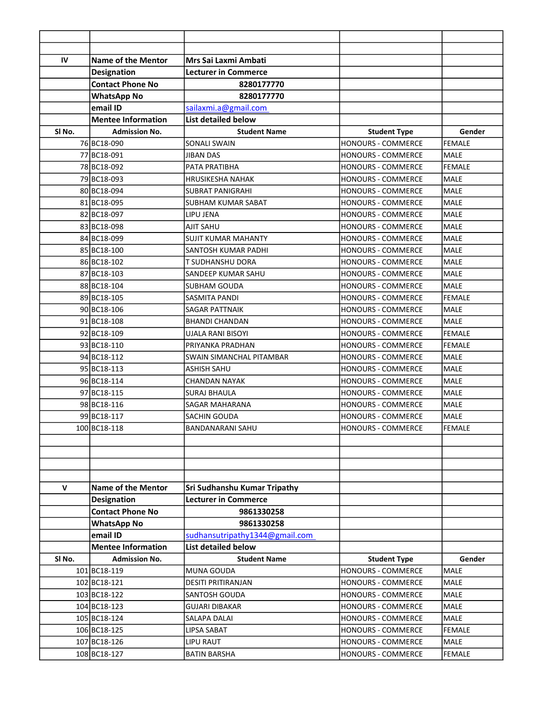| IV           | <b>Name of the Mentor</b> | Mrs Sai Laxmi Ambati           |                           |               |
|--------------|---------------------------|--------------------------------|---------------------------|---------------|
|              | <b>Designation</b>        | <b>Lecturer in Commerce</b>    |                           |               |
|              | <b>Contact Phone No</b>   | 8280177770                     |                           |               |
|              | <b>WhatsApp No</b>        | 8280177770                     |                           |               |
|              | email ID                  | sailaxmi.a@gmail.com           |                           |               |
|              | <b>Mentee Information</b> | <b>List detailed below</b>     |                           |               |
| SI No.       | <b>Admission No.</b>      | <b>Student Name</b>            | <b>Student Type</b>       | Gender        |
|              | 76 BC18-090               | <b>SONALI SWAIN</b>            | HONOURS - COMMERCE        | <b>FEMALE</b> |
|              | 77 BC18-091               | <b>JIBAN DAS</b>               | HONOURS - COMMERCE        | <b>MALE</b>   |
|              | 78 BC18-092               | PATA PRATIBHA                  | HONOURS - COMMERCE        | <b>FEMALE</b> |
|              | 79 BC18-093               | <b>HRUSIKESHA NAHAK</b>        | <b>HONOURS - COMMERCE</b> | MALE          |
|              | 80 BC18-094               | <b>SUBRAT PANIGRAHI</b>        | HONOURS - COMMERCE        | MALE          |
|              | 81 BC18-095               | SUBHAM KUMAR SABAT             | HONOURS - COMMERCE        | <b>MALE</b>   |
|              | 82 BC18-097               | LIPU JENA                      | <b>HONOURS - COMMERCE</b> | <b>MALE</b>   |
|              | 83 BC18-098               | AJIT SAHU                      | <b>HONOURS - COMMERCE</b> | MALE          |
|              | 84BC18-099                | <b>SUJIT KUMAR MAHANTY</b>     | <b>HONOURS - COMMERCE</b> | MALE          |
|              | 85 BC18-100               | SANTOSH KUMAR PADHI            | <b>HONOURS - COMMERCE</b> | <b>MALE</b>   |
|              | 86 BC18-102               | <b>T SUDHANSHU DORA</b>        | <b>HONOURS - COMMERCE</b> | MALE          |
|              | 87 BC18-103               | SANDEEP KUMAR SAHU             | HONOURS - COMMERCE        | MALE          |
|              | 88 BC18-104               | SUBHAM GOUDA                   | <b>HONOURS - COMMERCE</b> | <b>MALE</b>   |
|              | 89 BC18-105               | <b>SASMITA PANDI</b>           | <b>HONOURS - COMMERCE</b> | <b>FEMALE</b> |
|              | 90 BC18-106               | SAGAR PATTNAIK                 | <b>HONOURS - COMMERCE</b> | <b>MALE</b>   |
|              | 91 BC18-108               | <b>BHANDI CHANDAN</b>          | HONOURS - COMMERCE        | <b>MALE</b>   |
|              | 92 BC18-109               | <b>UJALA RANI BISOYI</b>       | HONOURS - COMMERCE        | <b>FEMALE</b> |
|              | 93 BC18-110               | PRIYANKA PRADHAN               | <b>HONOURS - COMMERCE</b> | <b>FEMALE</b> |
|              | 94 BC18-112               | SWAIN SIMANCHAL PITAMBAR       | <b>HONOURS - COMMERCE</b> | <b>MALE</b>   |
|              | 95 BC18-113               | <b>ASHISH SAHU</b>             | <b>HONOURS - COMMERCE</b> | MALE          |
|              | 96 BC18-114               | <b>CHANDAN NAYAK</b>           | HONOURS - COMMERCE        | MALE          |
|              | 97 BC18-115               | <b>SURAJ BHAULA</b>            | <b>HONOURS - COMMERCE</b> | MALE          |
|              | 98 BC18-116               | SAGAR MAHARANA                 | <b>HONOURS - COMMERCE</b> | MALE          |
|              | 99 BC18-117               | SACHIN GOUDA                   | <b>HONOURS - COMMERCE</b> | <b>MALE</b>   |
|              | 100 BC18-118              | BANDANARANI SAHU               | <b>HONOURS - COMMERCE</b> | <b>FEMALE</b> |
|              |                           |                                |                           |               |
|              |                           |                                |                           |               |
|              |                           |                                |                           |               |
|              |                           |                                |                           |               |
| $\mathsf{V}$ | Name of the Mentor        | Sri Sudhanshu Kumar Tripathy   |                           |               |
|              | <b>Designation</b>        | <b>Lecturer in Commerce</b>    |                           |               |
|              | <b>Contact Phone No</b>   | 9861330258                     |                           |               |
|              | <b>WhatsApp No</b>        | 9861330258                     |                           |               |
|              | email ID                  | sudhansutripathy1344@gmail.com |                           |               |
|              | <b>Mentee Information</b> | <b>List detailed below</b>     |                           |               |
| SI No.       | <b>Admission No.</b>      | <b>Student Name</b>            | <b>Student Type</b>       | Gender        |
|              | 101 BC18-119              | MUNA GOUDA                     | HONOURS - COMMERCE        | MALE          |
|              | 102 BC18-121              | <b>DESITI PRITIRANJAN</b>      | <b>HONOURS - COMMERCE</b> | MALE          |
|              | 103 BC18-122              | SANTOSH GOUDA                  | HONOURS - COMMERCE        | MALE          |
|              | 104 BC18-123              | <b>GUJARI DIBAKAR</b>          | HONOURS - COMMERCE        | MALE          |
|              | 105 BC18-124              | SALAPA DALAI                   | <b>HONOURS - COMMERCE</b> | MALE          |
|              | 106 BC18-125              | LIPSA SABAT                    | <b>HONOURS - COMMERCE</b> | <b>FEMALE</b> |
|              | 107 BC18-126              | <b>LIPU RAUT</b>               | <b>HONOURS - COMMERCE</b> | MALE          |
|              | 108 BC18-127              | <b>BATIN BARSHA</b>            | HONOURS - COMMERCE        | FEMALE        |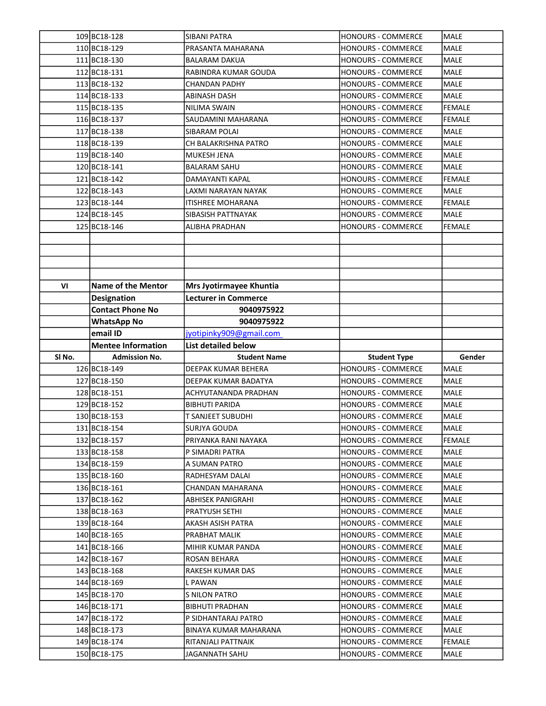|                   | 109BC18-128               | <b>SIBANI PATRA</b>         | <b>HONOURS - COMMERCE</b> | <b>MALE</b>   |
|-------------------|---------------------------|-----------------------------|---------------------------|---------------|
|                   | 110 BC18-129              | PRASANTA MAHARANA           | <b>HONOURS - COMMERCE</b> | MALE          |
|                   | 111 BC18-130              | <b>BALARAM DAKUA</b>        | <b>HONOURS - COMMERCE</b> | MALE          |
|                   | 112BC18-131               | RABINDRA KUMAR GOUDA        | HONOURS - COMMERCE        | <b>MALE</b>   |
|                   | 113 BC18-132              | <b>CHANDAN PADHY</b>        | HONOURS - COMMERCE        | <b>MALE</b>   |
|                   | 114 BC18-133              | <b>ABINASH DASH</b>         | <b>HONOURS - COMMERCE</b> | <b>MALE</b>   |
|                   | 115BC18-135               | NILIMA SWAIN                | <b>HONOURS - COMMERCE</b> | <b>FEMALE</b> |
|                   | 116BC18-137               | SAUDAMINI MAHARANA          | <b>HONOURS - COMMERCE</b> | <b>FEMALE</b> |
|                   | 117 BC18-138              | SIBARAM POLAI               | HONOURS - COMMERCE        | MALE          |
|                   | 118BC18-139               | CH BALAKRISHNA PATRO        | <b>HONOURS - COMMERCE</b> | MALE          |
|                   | 119BC18-140               | MUKESH JENA                 | HONOURS - COMMERCE        | MALE          |
|                   | 120 BC18-141              | <b>BALARAM SAHU</b>         | <b>HONOURS - COMMERCE</b> | MALE          |
|                   | 121 BC18-142              | DAMAYANTI KAPAL             | <b>HONOURS - COMMERCE</b> | <b>FEMALE</b> |
|                   | 122 BC18-143              | LAXMI NARAYAN NAYAK         | HONOURS - COMMERCE        | <b>MALE</b>   |
|                   | 123 BC18-144              | <b>ITISHREE MOHARANA</b>    | <b>HONOURS - COMMERCE</b> | <b>FEMALE</b> |
|                   | 124 BC18-145              | SIBASISH PATTNAYAK          | HONOURS - COMMERCE        | <b>MALE</b>   |
|                   | 125 BC18-146              | ALIBHA PRADHAN              | HONOURS - COMMERCE        | <b>FEMALE</b> |
|                   |                           |                             |                           |               |
|                   |                           |                             |                           |               |
|                   |                           |                             |                           |               |
|                   |                           |                             |                           |               |
| VI                | Name of the Mentor        | Mrs Jyotirmayee Khuntia     |                           |               |
|                   | <b>Designation</b>        | <b>Lecturer in Commerce</b> |                           |               |
|                   | <b>Contact Phone No</b>   | 9040975922                  |                           |               |
|                   | <b>WhatsApp No</b>        | 9040975922                  |                           |               |
|                   | email ID                  | jyotipinky909@gmail.com     |                           |               |
|                   |                           |                             |                           |               |
|                   | <b>Mentee Information</b> | List detailed below         |                           |               |
| SI <sub>No.</sub> | <b>Admission No.</b>      | <b>Student Name</b>         | <b>Student Type</b>       | Gender        |
|                   | 126 BC18-149              | DEEPAK KUMAR BEHERA         | HONOURS - COMMERCE        | <b>MALE</b>   |
|                   | 127BC18-150               | DEEPAK KUMAR BADATYA        | <b>HONOURS - COMMERCE</b> | <b>MALE</b>   |
|                   | 128 BC18-151              | <b>ACHYUTANANDA PRADHAN</b> | HONOURS - COMMERCE        | <b>MALE</b>   |
|                   | 129BC18-152               | <b>BIBHUTI PARIDA</b>       | HONOURS - COMMERCE        | <b>MALE</b>   |
|                   | 130BC18-153               | <b>T SANJEET SUBUDHI</b>    | <b>HONOURS - COMMERCE</b> | <b>MALE</b>   |
|                   | 131 BC18-154              | <b>SURJYA GOUDA</b>         | <b>HONOURS - COMMERCE</b> | MALE          |
|                   | 132 BC18-157              | PRIYANKA RANI NAYAKA        | HONOURS - COMMERCE        | <b>FEMALE</b> |
|                   | 133 BC18-158              | P SIMADRI PATRA             | <b>HONOURS - COMMERCE</b> | MALE          |
|                   | 134 BC18-159              | A SUMAN PATRO               | HONOURS - COMMERCE        | MALE          |
|                   | 135 BC18-160              | RADHESYAM DALAI             | HONOURS - COMMERCE        | MALE          |
|                   | 136 BC18-161              | CHANDAN MAHARANA            | HONOURS - COMMERCE        | MALE          |
|                   | 137 BC18-162              | ABHISEK PANIGRAHI           | HONOURS - COMMERCE        | <b>MALE</b>   |
|                   | 138BC18-163               | PRATYUSH SETHI              | HONOURS - COMMERCE        | MALE          |
|                   | 139 BC18-164              | AKASH ASISH PATRA           | <b>HONOURS - COMMERCE</b> | MALE          |
|                   | 140 BC18-165              | PRABHAT MALIK               | <b>HONOURS - COMMERCE</b> | MALE          |
|                   | 141 BC18-166              | MIHIR KUMAR PANDA           | HONOURS - COMMERCE        | MALE          |
|                   | 142 BC18-167              | ROSAN BEHARA                | HONOURS - COMMERCE        | <b>MALE</b>   |
|                   | 143 BC18-168              | RAKESH KUMAR DAS            | HONOURS - COMMERCE        | <b>MALE</b>   |
|                   | 144 BC18-169              | L PAWAN                     | HONOURS - COMMERCE        | <b>MALE</b>   |
|                   | 145 BC18-170              | S NILON PATRO               | HONOURS - COMMERCE        | MALE          |
|                   | 146 BC18-171              | <b>BIBHUTI PRADHAN</b>      | HONOURS - COMMERCE        | MALE          |
|                   | 147 BC18-172              | P SIDHANTARAJ PATRO         | HONOURS - COMMERCE        | MALE          |
|                   | 148 BC18-173              | BINAYA KUMAR MAHARANA       | HONOURS - COMMERCE        | MALE          |
|                   | 149 BC18-174              | RITANJALI PATTNAIK          | HONOURS - COMMERCE        | FEMALE        |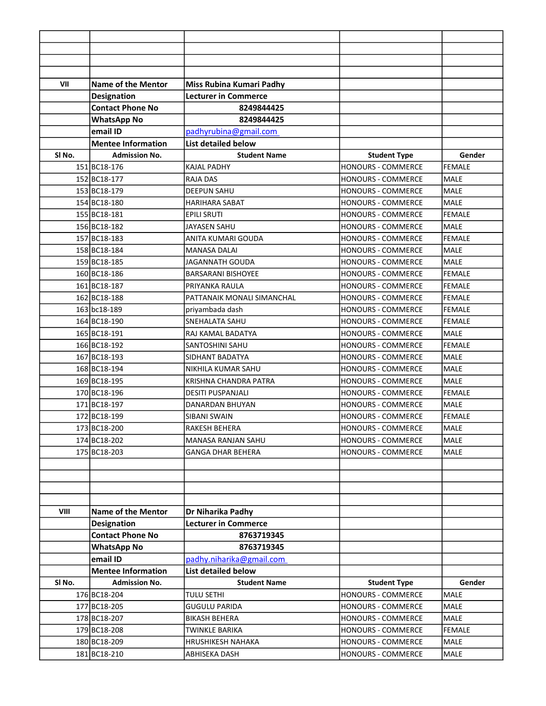| VII               | <b>Name of the Mentor</b> | Miss Rubina Kumari Padhy    |                           |               |
|-------------------|---------------------------|-----------------------------|---------------------------|---------------|
|                   | Designation               | <b>Lecturer in Commerce</b> |                           |               |
|                   | <b>Contact Phone No</b>   | 8249844425                  |                           |               |
|                   | <b>WhatsApp No</b>        | 8249844425                  |                           |               |
|                   | email ID                  | padhyrubina@gmail.com       |                           |               |
|                   | <b>Mentee Information</b> | <b>List detailed below</b>  |                           |               |
| SI No.            | <b>Admission No.</b>      | <b>Student Name</b>         | <b>Student Type</b>       | Gender        |
|                   | 151BC18-176               | <b>KAJAL PADHY</b>          | HONOURS - COMMERCE        | FEMALE        |
|                   | 152 BC18-177              | <b>RAJA DAS</b>             | <b>HONOURS - COMMERCE</b> | <b>MALE</b>   |
|                   | 153 BC18-179              | <b>DEEPUN SAHU</b>          | <b>HONOURS - COMMERCE</b> | <b>MALE</b>   |
|                   | 154 BC18-180              | <b>HARIHARA SABAT</b>       | <b>HONOURS - COMMERCE</b> | <b>MALE</b>   |
|                   | 155 BC18-181              | <b>EPILI SRUTI</b>          | <b>HONOURS - COMMERCE</b> | <b>FEMALE</b> |
|                   | 156 BC18-182              | <b>JAYASEN SAHU</b>         | HONOURS - COMMERCE        | lmale         |
|                   | 157 BC18-183              | ANITA KUMARI GOUDA          | HONOURS - COMMERCE        | <b>FEMALE</b> |
|                   | 158 BC18-184              | <b>MANASA DALAI</b>         | HONOURS - COMMERCE        | MALE          |
|                   | 159BC18-185               | JAGANNATH GOUDA             | <b>HONOURS - COMMERCE</b> | lmale         |
|                   | 160 BC18-186              | <b>BARSARANI BISHOYEE</b>   | <b>HONOURS - COMMERCE</b> | <b>FEMALE</b> |
|                   | 161BC18-187               | PRIYANKA RAULA              | <b>HONOURS - COMMERCE</b> | <b>FEMALE</b> |
|                   | 162 BC18-188              | PATTANAIK MONALI SIMANCHAL  | <b>HONOURS - COMMERCE</b> | FEMALE        |
|                   | 163 bc18-189              | priyambada dash             | <b>HONOURS - COMMERCE</b> | <b>FEMALE</b> |
|                   | 164 BC18-190              | <b>SNEHALATA SAHU</b>       | <b>HONOURS - COMMERCE</b> | <b>FEMALE</b> |
|                   | 165 BC18-191              | RAJ KAMAL BADATYA           | <b>HONOURS - COMMERCE</b> | <b>MALE</b>   |
|                   | 166BC18-192               | SANTOSHINI SAHU             | HONOURS - COMMERCE        | <b>FEMALE</b> |
|                   | 167 BC18-193              | SIDHANT BADATYA             | <b>HONOURS - COMMERCE</b> | lmale         |
|                   | 168BC18-194               | NIKHILA KUMAR SAHU          | <b>HONOURS - COMMERCE</b> | <b>MALE</b>   |
|                   | 169 BC18-195              | KRISHNA CHANDRA PATRA       | HONOURS - COMMERCE        | <b>MALE</b>   |
|                   | 170 BC18-196              | <b>DESITI PUSPANJALI</b>    | <b>HONOURS - COMMERCE</b> | <b>FEMALE</b> |
|                   | 171BC18-197               | DANARDAN BHUYAN             | <b>HONOURS - COMMERCE</b> | MALE          |
|                   | 172 BC18-199              | SIBANI SWAIN                | <b>HONOURS - COMMERCE</b> | <b>FEMALE</b> |
|                   | 173BC18-200               | RAKESH BEHERA               | <b>HONOURS - COMMERCE</b> | MALE          |
|                   | 174 BC18-202              | MANASA RANJAN SAHU          | HONOURS - COMMERCE        | lmale         |
|                   | 175 BC18-203              | <b>GANGA DHAR BEHERA</b>    | <b>HONOURS - COMMERCE</b> | MALE          |
|                   |                           |                             |                           |               |
|                   |                           |                             |                           |               |
|                   |                           |                             |                           |               |
|                   |                           |                             |                           |               |
| VIII              | <b>Name of the Mentor</b> | Dr Niharika Padhy           |                           |               |
|                   | <b>Designation</b>        | <b>Lecturer in Commerce</b> |                           |               |
|                   | <b>Contact Phone No</b>   | 8763719345                  |                           |               |
|                   | <b>WhatsApp No</b>        | 8763719345                  |                           |               |
|                   | email ID                  | padhy.niharika@gmail.com    |                           |               |
|                   | <b>Mentee Information</b> | <b>List detailed below</b>  |                           |               |
| SI <sub>No.</sub> | <b>Admission No.</b>      | <b>Student Name</b>         | <b>Student Type</b>       | Gender        |
|                   | 176 BC18-204              | TULU SETHI                  | <b>HONOURS - COMMERCE</b> | <b>MALE</b>   |
|                   | 177 BC18-205              | <b>GUGULU PARIDA</b>        | <b>HONOURS - COMMERCE</b> | <b>MALE</b>   |
|                   | 178 BC18-207              | <b>BIKASH BEHERA</b>        | HONOURS - COMMERCE        | MALE          |
|                   | 179 BC18-208              | <b>TWINKLE BARIKA</b>       | <b>HONOURS - COMMERCE</b> | FEMALE        |
|                   | 180BC18-209               | HRUSHIKESH NAHAKA           | HONOURS - COMMERCE        | MALE          |
|                   | 181 BC18-210              | ABHISEKA DASH               | HONOURS - COMMERCE        | MALE          |
|                   |                           |                             |                           |               |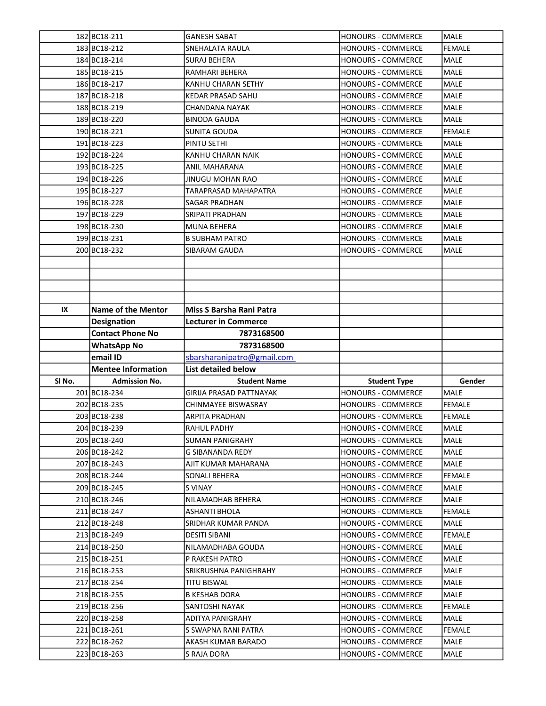|        | 182 BC18-211              | <b>GANESH SABAT</b>             | HONOURS - COMMERCE        | <b>MALE</b>   |
|--------|---------------------------|---------------------------------|---------------------------|---------------|
|        | 183 BC18-212              | SNEHALATA RAULA                 | <b>HONOURS - COMMERCE</b> | <b>FEMALE</b> |
|        | 184BC18-214               | <b>SURAJ BEHERA</b>             | HONOURS - COMMERCE        | MALE          |
|        | 185 BC18-215              | RAMHARI BEHERA                  | HONOURS - COMMERCE        | MALE          |
|        | 186 BC18-217              | KANHU CHARAN SETHY              | HONOURS - COMMERCE        | <b>MALE</b>   |
|        | 187 BC18-218              | <b>KEDAR PRASAD SAHU</b>        | <b>HONOURS - COMMERCE</b> | MALE          |
|        | 188BC18-219               | CHANDANA NAYAK                  | <b>HONOURS - COMMERCE</b> | <b>MALE</b>   |
|        | 189BC18-220               | <b>BINODA GAUDA</b>             | <b>HONOURS - COMMERCE</b> | <b>MALE</b>   |
|        | 190 BC18-221              | SUNITA GOUDA                    | <b>HONOURS - COMMERCE</b> | <b>FEMALE</b> |
|        | 191 BC18-223              | PINTU SETHI                     | <b>HONOURS - COMMERCE</b> | MALE          |
|        | 192 BC18-224              | KANHU CHARAN NAIK               | HONOURS - COMMERCE        | MALE          |
|        | 193 BC18-225              | ANIL MAHARANA                   | <b>HONOURS - COMMERCE</b> | MALE          |
|        | 194 BC18-226              | <b>JINUGU MOHAN RAO</b>         | <b>HONOURS - COMMERCE</b> | MALE          |
|        | 195 BC18-227              | TARAPRASAD MAHAPATRA            | HONOURS - COMMERCE        | <b>MALE</b>   |
|        | 196 BC18-228              | <b>SAGAR PRADHAN</b>            | <b>HONOURS - COMMERCE</b> | MALE          |
|        | 197 BC18-229              | SRIPATI PRADHAN                 | HONOURS - COMMERCE        | MALE          |
|        | 198 BC18-230              | <b>MUNA BEHERA</b>              | <b>HONOURS - COMMERCE</b> | <b>MALE</b>   |
|        | 199 BC18-231              | <b>B SUBHAM PATRO</b>           | <b>HONOURS - COMMERCE</b> | <b>MALE</b>   |
|        | 200 BC18-232              | SIBARAM GAUDA                   | <b>HONOURS - COMMERCE</b> | MALE          |
|        |                           |                                 |                           |               |
|        |                           |                                 |                           |               |
|        |                           |                                 |                           |               |
|        |                           |                                 |                           |               |
| IX     | <b>Name of the Mentor</b> | <b>Miss S Barsha Rani Patra</b> |                           |               |
|        | <b>Designation</b>        | <b>Lecturer in Commerce</b>     |                           |               |
|        | <b>Contact Phone No</b>   | 7873168500                      |                           |               |
|        |                           |                                 |                           |               |
|        | <b>WhatsApp No</b>        | 7873168500                      |                           |               |
|        | email ID                  | sbarsharanipatro@gmail.com      |                           |               |
|        | <b>Mentee Information</b> | <b>List detailed below</b>      |                           |               |
| SI No. | <b>Admission No.</b>      | <b>Student Name</b>             | <b>Student Type</b>       | Gender        |
|        | 201 BC18-234              | <b>GIRIJA PRASAD PATTNAYAK</b>  | HONOURS - COMMERCE        | <b>MALE</b>   |
|        | 202 BC18-235              | CHINMAYEE BISWASRAY             | HONOURS - COMMERCE        | <b>FEMALE</b> |
|        | 203BC18-238               | <b>ARPITA PRADHAN</b>           | <b>HONOURS - COMMERCE</b> | <b>FEMALE</b> |
|        | 204 BC18-239              | RAHUL PADHY                     | HONOURS - COMMERCE        | lmale         |
|        | 205 BC18-240              | <b>SUMAN PANIGRAHY</b>          | HONOURS - COMMERCE        | MALE          |
|        | 206 BC18-242              | G SIBANANDA REDY                | <b>HONOURS - COMMERCE</b> | MALE          |
|        | 207 BC18-243              | AJIT KUMAR MAHARANA             | HONOURS - COMMERCE        | MALE          |
|        | 208 BC18-244              | SONALI BEHERA                   | HONOURS - COMMERCE        | <b>FEMALE</b> |
|        | 209 BC18-245              | S VINAY                         | HONOURS - COMMERCE        | MALE          |
|        | 210BC18-246               | NILAMADHAB BEHERA               | HONOURS - COMMERCE        | <b>MALE</b>   |
|        | 211 BC18-247              | ASHANTI BHOLA                   | HONOURS - COMMERCE        | FEMALE        |
|        | 212 BC18-248              | SRIDHAR KUMAR PANDA             | HONOURS - COMMERCE        | MALE          |
|        | 213 BC18-249              | DESITI SIBANI                   | <b>HONOURS - COMMERCE</b> | <b>FEMALE</b> |
|        | 214 BC18-250              | NILAMADHABA GOUDA               | HONOURS - COMMERCE        | MALE          |
|        | 215 BC18-251              | P RAKESH PATRO                  | HONOURS - COMMERCE        | <b>MALE</b>   |
|        | 216 BC18-253              | SRIKRUSHNA PANIGHRAHY           | HONOURS - COMMERCE        | MALE          |
|        | 217 BC18-254              | TITU BISWAL                     | HONOURS - COMMERCE        | MALE          |
|        | 218 BC18-255              | B KESHAB DORA                   | HONOURS - COMMERCE        | MALE          |
|        | 219 BC18-256              | SANTOSHI NAYAK                  | HONOURS - COMMERCE        | FEMALE        |
|        | 220 BC18-258              | ADITYA PANIGRAHY                | HONOURS - COMMERCE        | MALE          |
|        | 221 BC18-261              | S SWAPNA RANI PATRA             | HONOURS - COMMERCE        | FEMALE        |
|        | 222 BC18-262              | AKASH KUMAR BARADO              | HONOURS - COMMERCE        | MALE          |